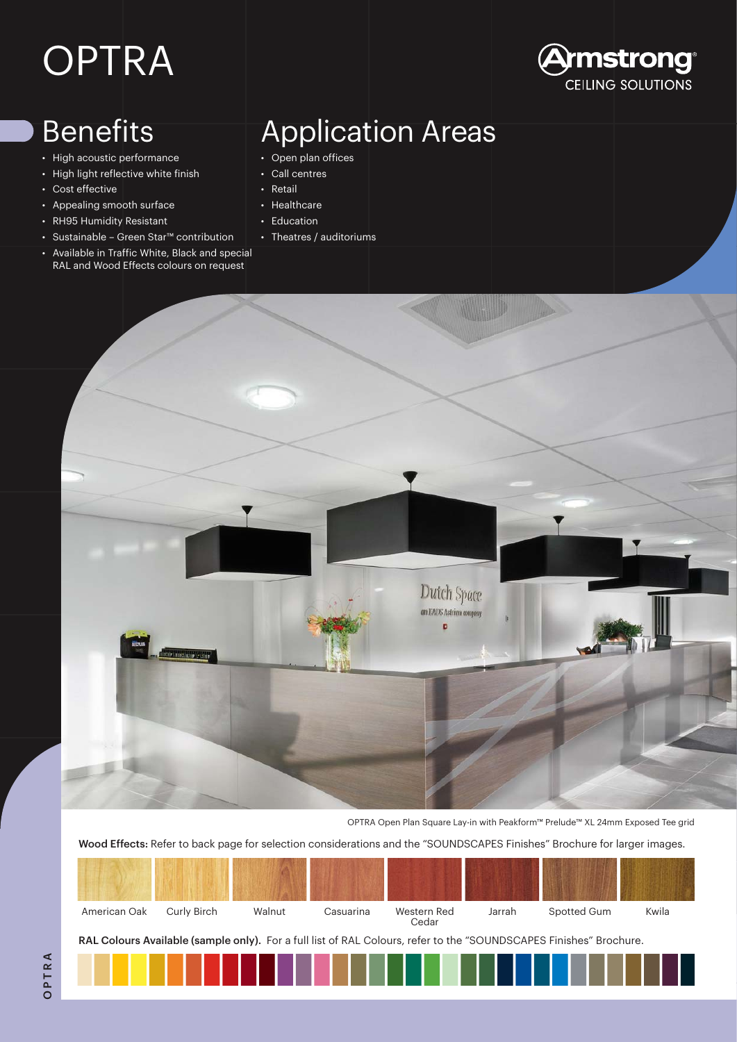# OPTRA

### Benefits

- High acoustic performance
- High light reflective white finish
- Cost effective
- Appealing smooth surface
- RH95 Humidity Resistant
- Sustainable Green Star™ contribution
- Available in Traffic White, Black and special RAL and Wood Effects colours on request

### Application Areas

**)mstrong** CEILING SOLUTIONS

- Open plan offices
- Call centres
- Retail
- **Healthcare**
- Education
- Theatres / auditoriums



OPTRA Open Plan Square Lay-in with Peakform™ Prelude™ XL 24mm Exposed Tee grid

Wood Effects: Refer to back page for selection considerations and the "SOUNDSCAPES Finishes" Brochure for larger images.

| American Oak                                                                                                       | Curly Birch | Walnut | Casuarina | Western Red<br>Cedar | Jarrah | Spotted Gum | Kwila |
|--------------------------------------------------------------------------------------------------------------------|-------------|--------|-----------|----------------------|--------|-------------|-------|
| RAL Colours Available (sample only). For a full list of RAL Colours, refer to the "SOUNDSCAPES Finishes" Brochure. |             |        |           |                      |        |             |       |
|                                                                                                                    |             |        |           |                      |        |             |       |